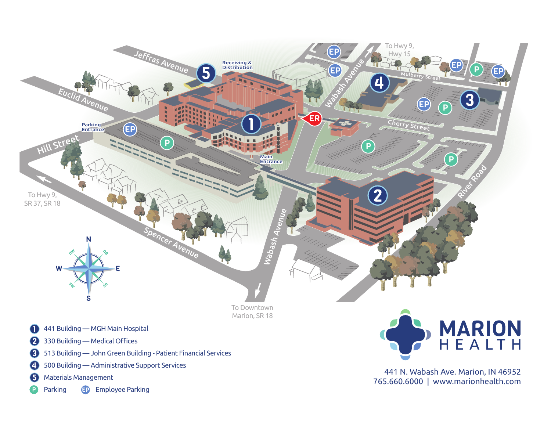